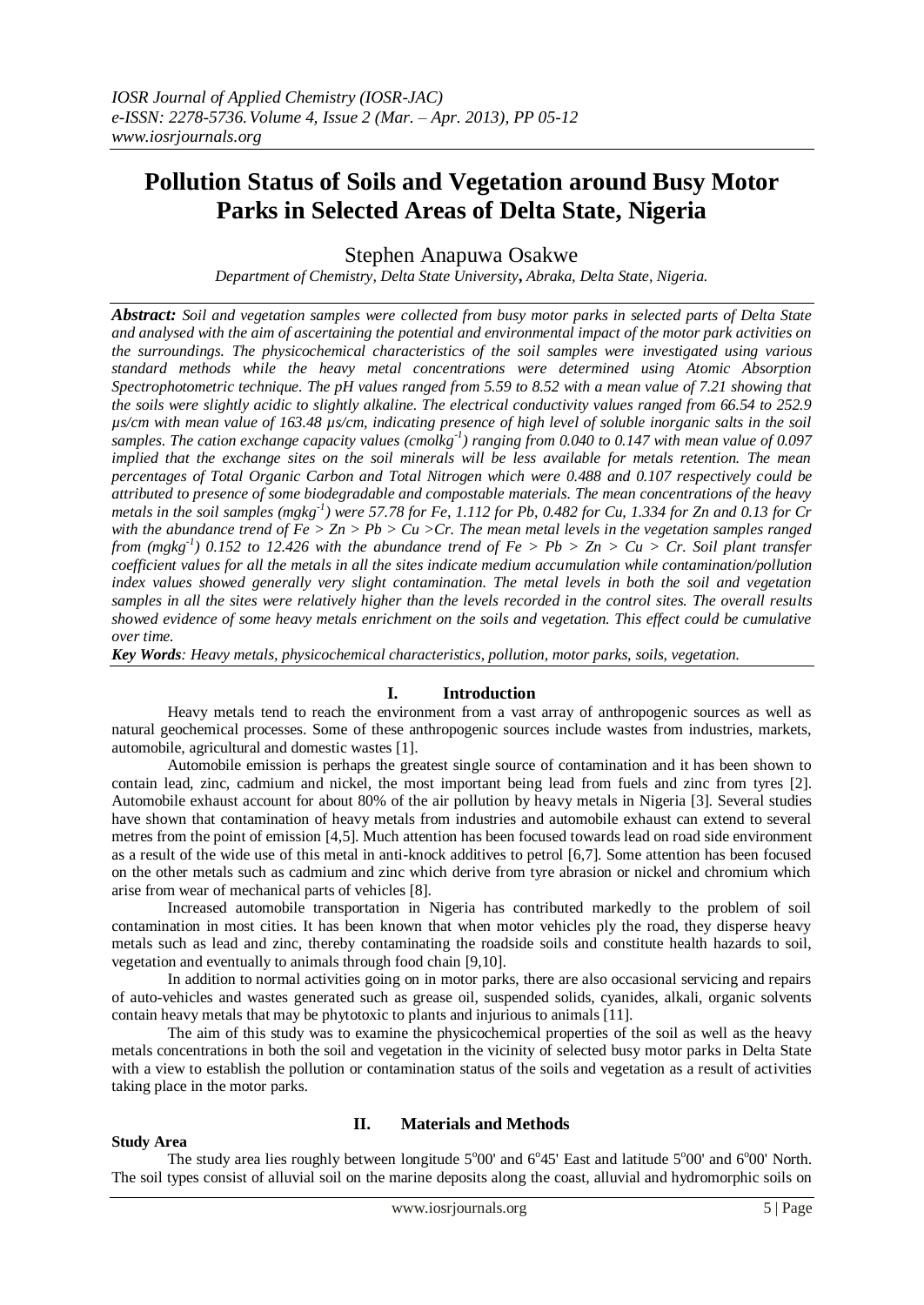# **Pollution Status of Soils and Vegetation around Busy Motor Parks in Selected Areas of Delta State, Nigeria**

Stephen Anapuwa Osakwe

*Department of Chemistry, Delta State University***,** *Abraka, Delta State, Nigeria.*

*Abstract: Soil and vegetation samples were collected from busy motor parks in selected parts of Delta State and analysed with the aim of ascertaining the potential and environmental impact of the motor park activities on the surroundings. The physicochemical characteristics of the soil samples were investigated using various standard methods while the heavy metal concentrations were determined using Atomic Absorption Spectrophotometric technique. The pH values ranged from 5.59 to 8.52 with a mean value of 7.21 showing that the soils were slightly acidic to slightly alkaline. The electrical conductivity values ranged from 66.54 to 252.9 µs/cm with mean value of 163.48 µs/cm, indicating presence of high level of soluble inorganic salts in the soil samples. The cation exchange capacity values (cmolkg-1 ) ranging from 0.040 to 0.147 with mean value of 0.097 implied that the exchange sites on the soil minerals will be less available for metals retention. The mean percentages of Total Organic Carbon and Total Nitrogen which were 0.488 and 0.107 respectively could be attributed to presence of some biodegradable and compostable materials. The mean concentrations of the heavy metals in the soil samples (mgkg-1 ) were 57.78 for Fe, 1.112 for Pb, 0.482 for Cu, 1.334 for Zn and 0.13 for Cr with the abundance trend of Fe > Zn > Pb > Cu >Cr. The mean metal levels in the vegetation samples ranged from (mgkg-1 ) 0.152 to 12.426 with the abundance trend of Fe > Pb > Zn > Cu > Cr. Soil plant transfer coefficient values for all the metals in all the sites indicate medium accumulation while contamination/pollution index values showed generally very slight contamination. The metal levels in both the soil and vegetation samples in all the sites were relatively higher than the levels recorded in the control sites. The overall results showed evidence of some heavy metals enrichment on the soils and vegetation. This effect could be cumulative over time.*

*Key Words: Heavy metals, physicochemical characteristics, pollution, motor parks, soils, vegetation.*

### **I. Introduction**

Heavy metals tend to reach the environment from a vast array of anthropogenic sources as well as natural geochemical processes. Some of these anthropogenic sources include wastes from industries, markets, automobile, agricultural and domestic wastes [1].

Automobile emission is perhaps the greatest single source of contamination and it has been shown to contain lead, zinc, cadmium and nickel, the most important being lead from fuels and zinc from tyres [2]. Automobile exhaust account for about 80% of the air pollution by heavy metals in Nigeria [3]. Several studies have shown that contamination of heavy metals from industries and automobile exhaust can extend to several metres from the point of emission [4,5]. Much attention has been focused towards lead on road side environment as a result of the wide use of this metal in anti-knock additives to petrol [6,7]. Some attention has been focused on the other metals such as cadmium and zinc which derive from tyre abrasion or nickel and chromium which arise from wear of mechanical parts of vehicles [8].

Increased automobile transportation in Nigeria has contributed markedly to the problem of soil contamination in most cities. It has been known that when motor vehicles ply the road, they disperse heavy metals such as lead and zinc, thereby contaminating the roadside soils and constitute health hazards to soil, vegetation and eventually to animals through food chain [9,10].

In addition to normal activities going on in motor parks, there are also occasional servicing and repairs of auto-vehicles and wastes generated such as grease oil, suspended solids, cyanides, alkali, organic solvents contain heavy metals that may be phytotoxic to plants and injurious to animals [11].

The aim of this study was to examine the physicochemical properties of the soil as well as the heavy metals concentrations in both the soil and vegetation in the vicinity of selected busy motor parks in Delta State with a view to establish the pollution or contamination status of the soils and vegetation as a result of activities taking place in the motor parks.

#### **Study Area**

# **II. Materials and Methods**

The study area lies roughly between longitude  $5^{\circ}00'$  and  $6^{\circ}45'$  East and latitude  $5^{\circ}00'$  and  $6^{\circ}00'$  North. The soil types consist of alluvial soil on the marine deposits along the coast, alluvial and hydromorphic soils on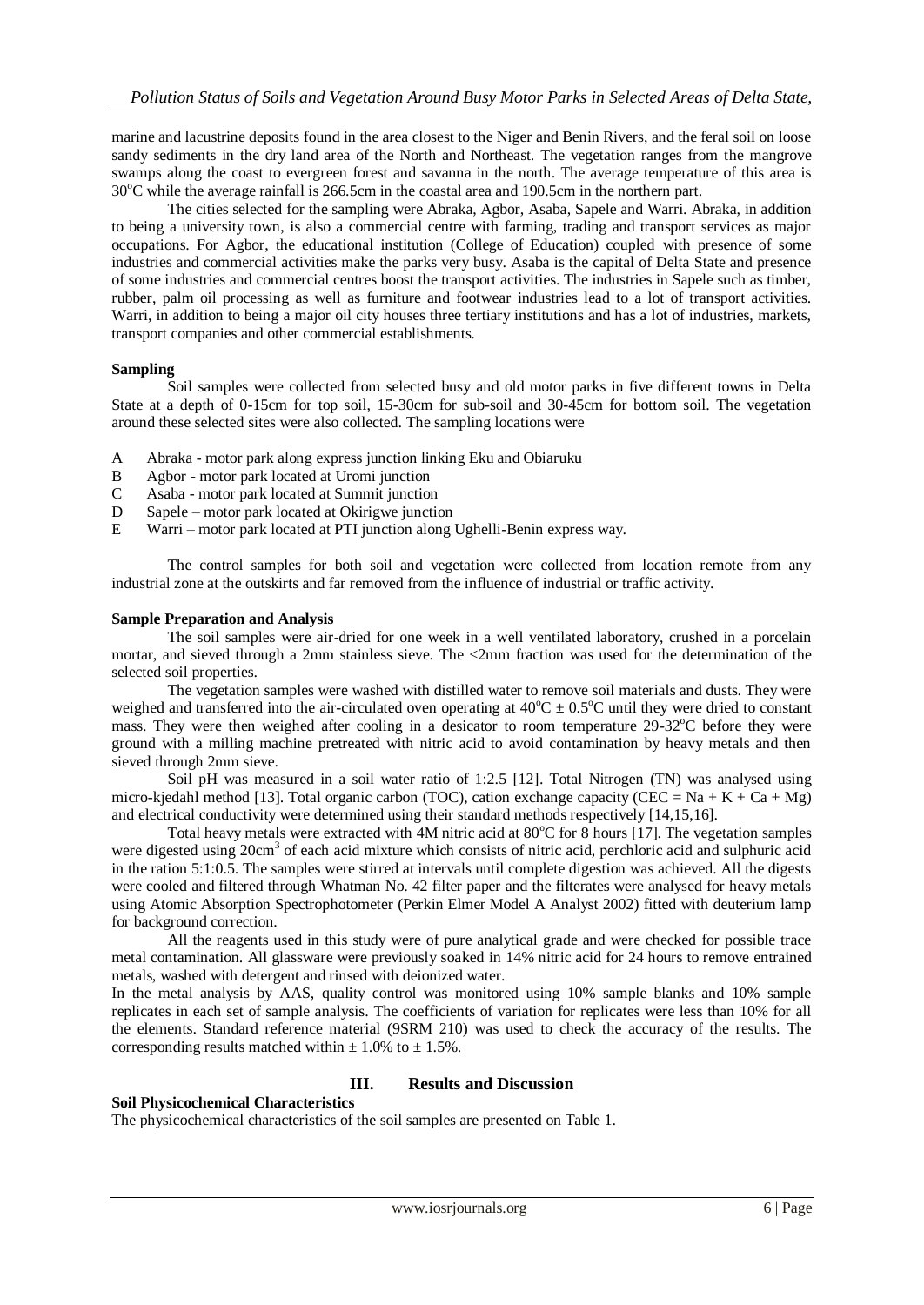marine and lacustrine deposits found in the area closest to the Niger and Benin Rivers, and the feral soil on loose sandy sediments in the dry land area of the North and Northeast. The vegetation ranges from the mangrove swamps along the coast to evergreen forest and savanna in the north. The average temperature of this area is  $30^{\circ}$ C while the average rainfall is 266.5cm in the coastal area and 190.5cm in the northern part.

The cities selected for the sampling were Abraka, Agbor, Asaba, Sapele and Warri. Abraka, in addition to being a university town, is also a commercial centre with farming, trading and transport services as major occupations. For Agbor, the educational institution (College of Education) coupled with presence of some industries and commercial activities make the parks very busy. Asaba is the capital of Delta State and presence of some industries and commercial centres boost the transport activities. The industries in Sapele such as timber, rubber, palm oil processing as well as furniture and footwear industries lead to a lot of transport activities. Warri, in addition to being a major oil city houses three tertiary institutions and has a lot of industries, markets, transport companies and other commercial establishments.

# **Sampling**

Soil samples were collected from selected busy and old motor parks in five different towns in Delta State at a depth of 0-15cm for top soil, 15-30cm for sub-soil and 30-45cm for bottom soil. The vegetation around these selected sites were also collected. The sampling locations were

- A Abraka motor park along express junction linking Eku and Obiaruku
- B Agbor motor park located at Uromi junction
- C Asaba motor park located at Summit junction
- D Sapele motor park located at Okirigwe junction
- E Warri motor park located at PTI junction along Ughelli-Benin express way.

The control samples for both soil and vegetation were collected from location remote from any industrial zone at the outskirts and far removed from the influence of industrial or traffic activity.

### **Sample Preparation and Analysis**

The soil samples were air-dried for one week in a well ventilated laboratory, crushed in a porcelain mortar, and sieved through a 2mm stainless sieve. The <2mm fraction was used for the determination of the selected soil properties.

The vegetation samples were washed with distilled water to remove soil materials and dusts. They were weighed and transferred into the air-circulated oven operating at  $40^{\circ}C \pm 0.5^{\circ}C$  until they were dried to constant mass. They were then weighed after cooling in a desicator to room temperature  $29-32^{\circ}$ C before they were ground with a milling machine pretreated with nitric acid to avoid contamination by heavy metals and then sieved through 2mm sieve.

Soil pH was measured in a soil water ratio of 1:2.5 [12]. Total Nitrogen (TN) was analysed using micro-kjedahl method [13]. Total organic carbon (TOC), cation exchange capacity (CEC = Na + K + Ca + Mg) and electrical conductivity were determined using their standard methods respectively [14,15,16].

Total heavy metals were extracted with  $4M$  nitric acid at  $80^{\circ}$ C for 8 hours [17]. The vegetation samples were digested using 20cm<sup>3</sup> of each acid mixture which consists of nitric acid, perchloric acid and sulphuric acid in the ration 5:1:0.5. The samples were stirred at intervals until complete digestion was achieved. All the digests were cooled and filtered through Whatman No. 42 filter paper and the filterates were analysed for heavy metals using Atomic Absorption Spectrophotometer (Perkin Elmer Model A Analyst 2002) fitted with deuterium lamp for background correction.

All the reagents used in this study were of pure analytical grade and were checked for possible trace metal contamination. All glassware were previously soaked in 14% nitric acid for 24 hours to remove entrained metals, washed with detergent and rinsed with deionized water.

In the metal analysis by AAS, quality control was monitored using 10% sample blanks and 10% sample replicates in each set of sample analysis. The coefficients of variation for replicates were less than 10% for all the elements. Standard reference material (9SRM 210) was used to check the accuracy of the results. The corresponding results matched within  $\pm$  1.0% to  $\pm$  1.5%.

# **III. Results and Discussion**

### **Soil Physicochemical Characteristics**

The physicochemical characteristics of the soil samples are presented on Table 1.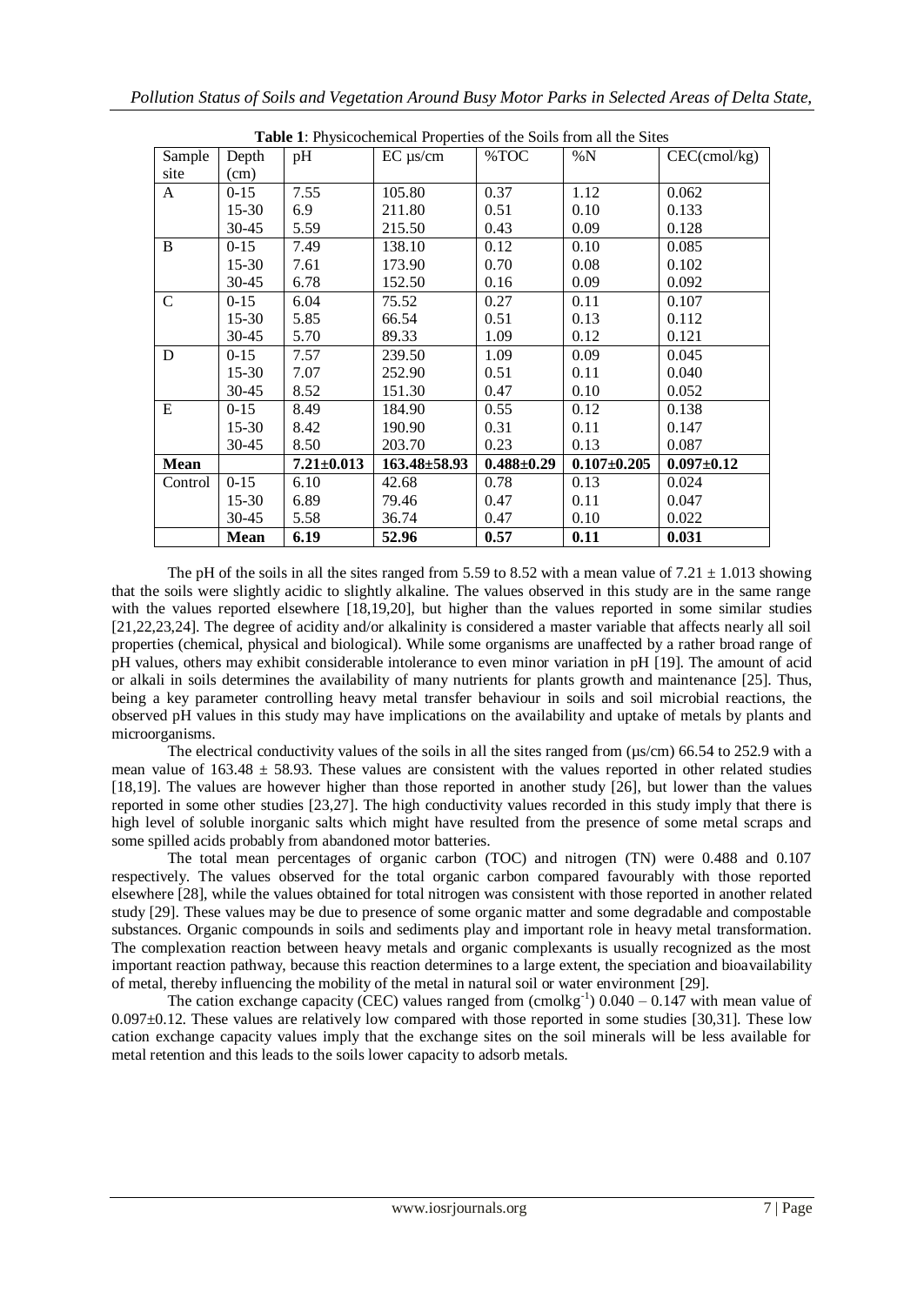| <b>Table 1</b> : Physicochemical Properties of the Soils from all the Sites |           |                  |                    |                  |                   |                  |  |  |
|-----------------------------------------------------------------------------|-----------|------------------|--------------------|------------------|-------------------|------------------|--|--|
| Sample                                                                      | Depth     | pH               | $EC \mu s/cm$      | %TOC             | $\%N$             | $CEC$ (cmol/kg)  |  |  |
| site                                                                        | (cm)      |                  |                    |                  |                   |                  |  |  |
| A                                                                           | $0 - 15$  | 7.55             | 105.80             | 0.37             | 1.12              | 0.062            |  |  |
|                                                                             | $15-30$   | 6.9              | 211.80             | 0.51             | 0.10              | 0.133            |  |  |
|                                                                             | $30 - 45$ | 5.59             | 215.50             | 0.43             | 0.09              | 0.128            |  |  |
| B                                                                           | $0 - 15$  | 7.49             | 138.10             | 0.12             | 0.10              | 0.085            |  |  |
|                                                                             | $15-30$   | 7.61             | 173.90             | 0.70             | 0.08              | 0.102            |  |  |
|                                                                             | $30 - 45$ | 6.78             | 152.50             | 0.16             | 0.09              | 0.092            |  |  |
| $\mathsf{C}$                                                                | $0 - 15$  | 6.04             | 75.52              | 0.27             | 0.11              | 0.107            |  |  |
|                                                                             | 15-30     | 5.85             | 66.54              | 0.51             | 0.13              | 0.112            |  |  |
|                                                                             | 30-45     | 5.70             | 89.33              | 1.09             | 0.12              | 0.121            |  |  |
| D                                                                           | $0 - 15$  | 7.57             | 239.50             | 1.09             | 0.09              | 0.045            |  |  |
|                                                                             | $15 - 30$ | 7.07             | 252.90             | 0.51             | 0.11              | 0.040            |  |  |
|                                                                             | $30 - 45$ | 8.52             | 151.30             | 0.47             | 0.10              | 0.052            |  |  |
| E                                                                           | $0 - 15$  | 8.49             | 184.90             | 0.55             | 0.12              | 0.138            |  |  |
|                                                                             | 15-30     | 8.42             | 190.90             | 0.31             | 0.11              | 0.147            |  |  |
|                                                                             | $30 - 45$ | 8.50             | 203.70             | 0.23             | 0.13              | 0.087            |  |  |
| <b>Mean</b>                                                                 |           | $7.21 \pm 0.013$ | $163.48 \pm 58.93$ | $0.488 \pm 0.29$ | $0.107 \pm 0.205$ | $0.097 \pm 0.12$ |  |  |
| Control                                                                     | $0 - 15$  | 6.10             | 42.68              | 0.78             | 0.13              | 0.024            |  |  |
|                                                                             | 15-30     | 6.89             | 79.46              | 0.47             | 0.11              | 0.047            |  |  |
|                                                                             | 30-45     | 5.58             | 36.74              | 0.47             | 0.10              | 0.022            |  |  |
|                                                                             | Mean      | 6.19             | 52.96              | 0.57             | 0.11              | 0.031            |  |  |

**Table 1**: Physicochemical Properties of the Soils from all the Sites

The pH of the soils in all the sites ranged from 5.59 to 8.52 with a mean value of  $7.21 \pm 1.013$  showing that the soils were slightly acidic to slightly alkaline. The values observed in this study are in the same range with the values reported elsewhere [18,19,20], but higher than the values reported in some similar studies [21,22,23,24]. The degree of acidity and/or alkalinity is considered a master variable that affects nearly all soil properties (chemical, physical and biological). While some organisms are unaffected by a rather broad range of pH values, others may exhibit considerable intolerance to even minor variation in pH [19]. The amount of acid or alkali in soils determines the availability of many nutrients for plants growth and maintenance [25]. Thus, being a key parameter controlling heavy metal transfer behaviour in soils and soil microbial reactions, the observed pH values in this study may have implications on the availability and uptake of metals by plants and microorganisms.

The electrical conductivity values of the soils in all the sites ranged from ( $\mu s/cm$ ) 66.54 to 252.9 with a mean value of  $163.48 \pm 58.93$ . These values are consistent with the values reported in other related studies [18,19]. The values are however higher than those reported in another study [26], but lower than the values reported in some other studies [23,27]. The high conductivity values recorded in this study imply that there is high level of soluble inorganic salts which might have resulted from the presence of some metal scraps and some spilled acids probably from abandoned motor batteries.

The total mean percentages of organic carbon (TOC) and nitrogen (TN) were 0.488 and 0.107 respectively. The values observed for the total organic carbon compared favourably with those reported elsewhere [28], while the values obtained for total nitrogen was consistent with those reported in another related study [29]. These values may be due to presence of some organic matter and some degradable and compostable substances. Organic compounds in soils and sediments play and important role in heavy metal transformation. The complexation reaction between heavy metals and organic complexants is usually recognized as the most important reaction pathway, because this reaction determines to a large extent, the speciation and bioavailability of metal, thereby influencing the mobility of the metal in natural soil or water environment [29].

The cation exchange capacity (CEC) values ranged from  $\text{(cmolkg}^{-1})$  0.040 – 0.147 with mean value of 0.097±0.12. These values are relatively low compared with those reported in some studies [30,31]. These low cation exchange capacity values imply that the exchange sites on the soil minerals will be less available for metal retention and this leads to the soils lower capacity to adsorb metals.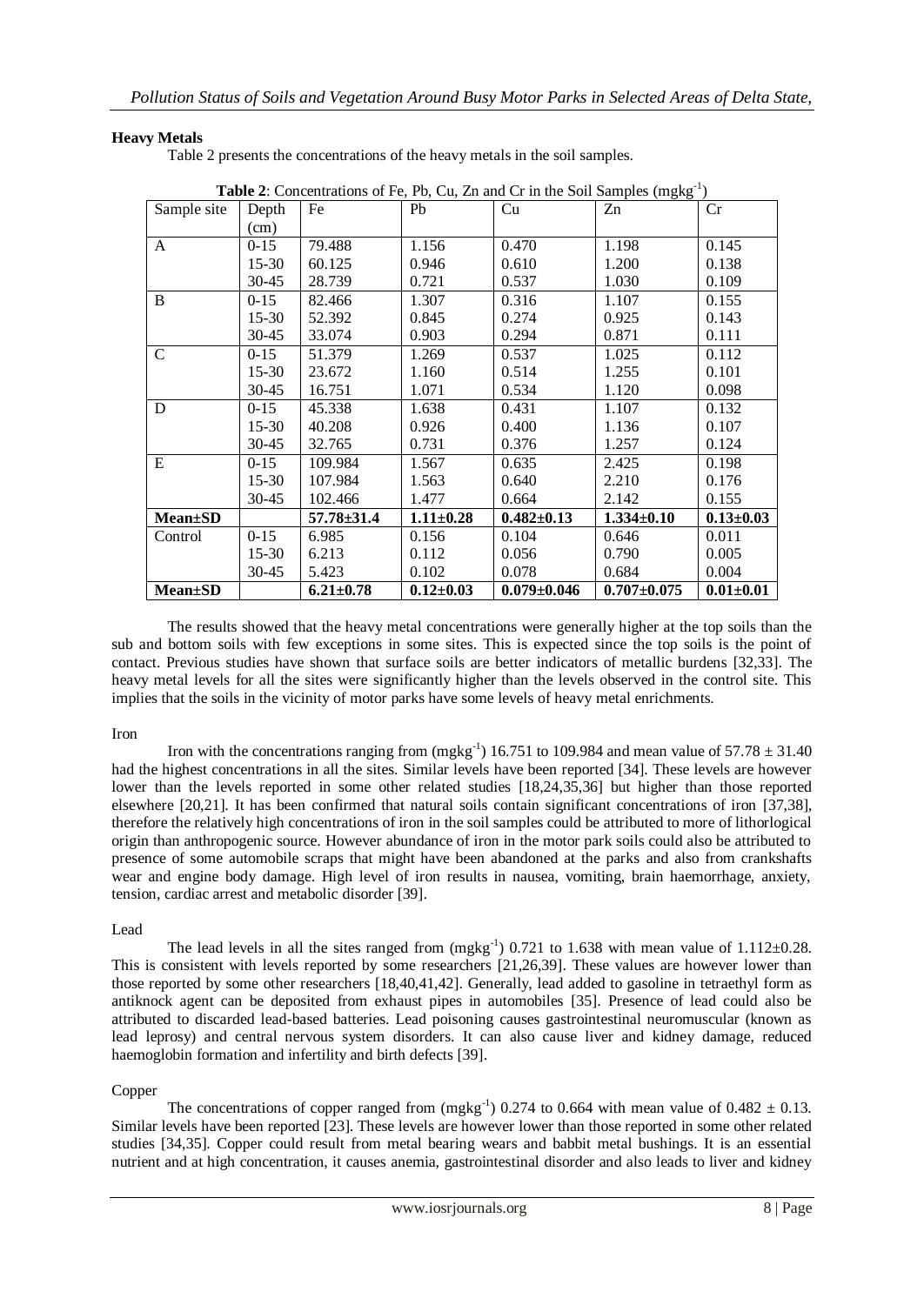# **Heavy Metals**

Table 2 presents the concentrations of the heavy metals in the soil samples.

| Sample site     | Depth     | Fe               | Pb              | <b>Twore 2.</b> Concentrations of $\mathbf{r}$ c, $\mathbf{r}$ c, $\mathbf{c}$ and $\mathbf{c}$ in the bon bumples (in $\mathbf{a}$ , $\mathbf{c}$ )<br>Cu | Zn               | Cr              |
|-----------------|-----------|------------------|-----------------|------------------------------------------------------------------------------------------------------------------------------------------------------------|------------------|-----------------|
|                 | (cm)      |                  |                 |                                                                                                                                                            |                  |                 |
| A               | $0 - 15$  | 79.488           | 1.156           | 0.470                                                                                                                                                      | 1.198            | 0.145           |
|                 | $15 - 30$ | 60.125           | 0.946           | 0.610                                                                                                                                                      | 1.200            | 0.138           |
|                 | $30 - 45$ | 28.739           | 0.721           | 0.537                                                                                                                                                      | 1.030            | 0.109           |
| B               | $0 - 15$  | 82.466           | 1.307           | 0.316                                                                                                                                                      | 1.107            | 0.155           |
|                 | $15 - 30$ | 52.392           | 0.845           | 0.274                                                                                                                                                      | 0.925            | 0.143           |
|                 | $30 - 45$ | 33.074           | 0.903           | 0.294                                                                                                                                                      | 0.871            | 0.111           |
| $\mathsf{C}$    | $0 - 15$  | 51.379           | 1.269           | 0.537                                                                                                                                                      | 1.025            | 0.112           |
|                 | $15 - 30$ | 23.672           | 1.160           | 0.514                                                                                                                                                      | 1.255            | 0.101           |
|                 | $30 - 45$ | 16.751           | 1.071           | 0.534                                                                                                                                                      | 1.120            | 0.098           |
| D               | $0 - 15$  | 45.338           | 1.638           | 0.431                                                                                                                                                      | 1.107            | 0.132           |
|                 | $15 - 30$ | 40.208           | 0.926           | 0.400                                                                                                                                                      | 1.136            | 0.107           |
|                 | $30 - 45$ | 32.765           | 0.731           | 0.376                                                                                                                                                      | 1.257            | 0.124           |
| E               | $0 - 15$  | 109.984          | 1.567           | 0.635                                                                                                                                                      | 2.425            | 0.198           |
|                 | $15 - 30$ | 107.984          | 1.563           | 0.640                                                                                                                                                      | 2.210            | 0.176           |
|                 | $30 - 45$ | 102.466          | 1.477           | 0.664                                                                                                                                                      | 2.142            | 0.155           |
| <b>Mean</b> ±SD |           | $57.78 \pm 31.4$ | $1.11 \pm 0.28$ | $0.482 \pm 0.13$                                                                                                                                           | $1.334 \pm 0.10$ | $0.13 \pm 0.03$ |
| Control         | $0 - 15$  | 6.985            | 0.156           | 0.104                                                                                                                                                      | 0.646            | 0.011           |
|                 | $15 - 30$ | 6.213            | 0.112           | 0.056                                                                                                                                                      | 0.790            | 0.005           |
|                 | $30 - 45$ | 5.423            | 0.102           | 0.078                                                                                                                                                      | 0.684            | 0.004           |
| <b>Mean</b> ±SD |           | $6.21 \pm 0.78$  | $0.12 \pm 0.03$ | $0.079 \pm 0.046$                                                                                                                                          | $0.707 + 0.075$  | $0.01 \pm 0.01$ |

Table 2: Concentrations of Fe, Pb, Cu, Zn and Cr in the Soil Samples (mgkg<sup>-1</sup>)

The results showed that the heavy metal concentrations were generally higher at the top soils than the sub and bottom soils with few exceptions in some sites. This is expected since the top soils is the point of contact. Previous studies have shown that surface soils are better indicators of metallic burdens [32,33]. The heavy metal levels for all the sites were significantly higher than the levels observed in the control site. This implies that the soils in the vicinity of motor parks have some levels of heavy metal enrichments.

### Iron

Iron with the concentrations ranging from  $(mgkg^{-1})$  16.751 to 109.984 and mean value of 57.78  $\pm$  31.40 had the highest concentrations in all the sites. Similar levels have been reported [34]. These levels are however lower than the levels reported in some other related studies [18,24,35,36] but higher than those reported elsewhere [20,21]. It has been confirmed that natural soils contain significant concentrations of iron [37,38], therefore the relatively high concentrations of iron in the soil samples could be attributed to more of lithorlogical origin than anthropogenic source. However abundance of iron in the motor park soils could also be attributed to presence of some automobile scraps that might have been abandoned at the parks and also from crankshafts wear and engine body damage. High level of iron results in nausea, vomiting, brain haemorrhage, anxiety, tension, cardiac arrest and metabolic disorder [39].

### Lead

The lead levels in all the sites ranged from  $(mgkg^{-1})$  0.721 to 1.638 with mean value of 1.112 $\pm$ 0.28. This is consistent with levels reported by some researchers [21,26,39]. These values are however lower than those reported by some other researchers [18,40,41,42]. Generally, lead added to gasoline in tetraethyl form as antiknock agent can be deposited from exhaust pipes in automobiles [35]. Presence of lead could also be attributed to discarded lead-based batteries. Lead poisoning causes gastrointestinal neuromuscular (known as lead leprosy) and central nervous system disorders. It can also cause liver and kidney damage, reduced haemoglobin formation and infertility and birth defects [39].

# Copper

The concentrations of copper ranged from  $(mgkg^{-1})$  0.274 to 0.664 with mean value of 0.482  $\pm$  0.13. Similar levels have been reported [23]. These levels are however lower than those reported in some other related studies [34,35]. Copper could result from metal bearing wears and babbit metal bushings. It is an essential nutrient and at high concentration, it causes anemia, gastrointestinal disorder and also leads to liver and kidney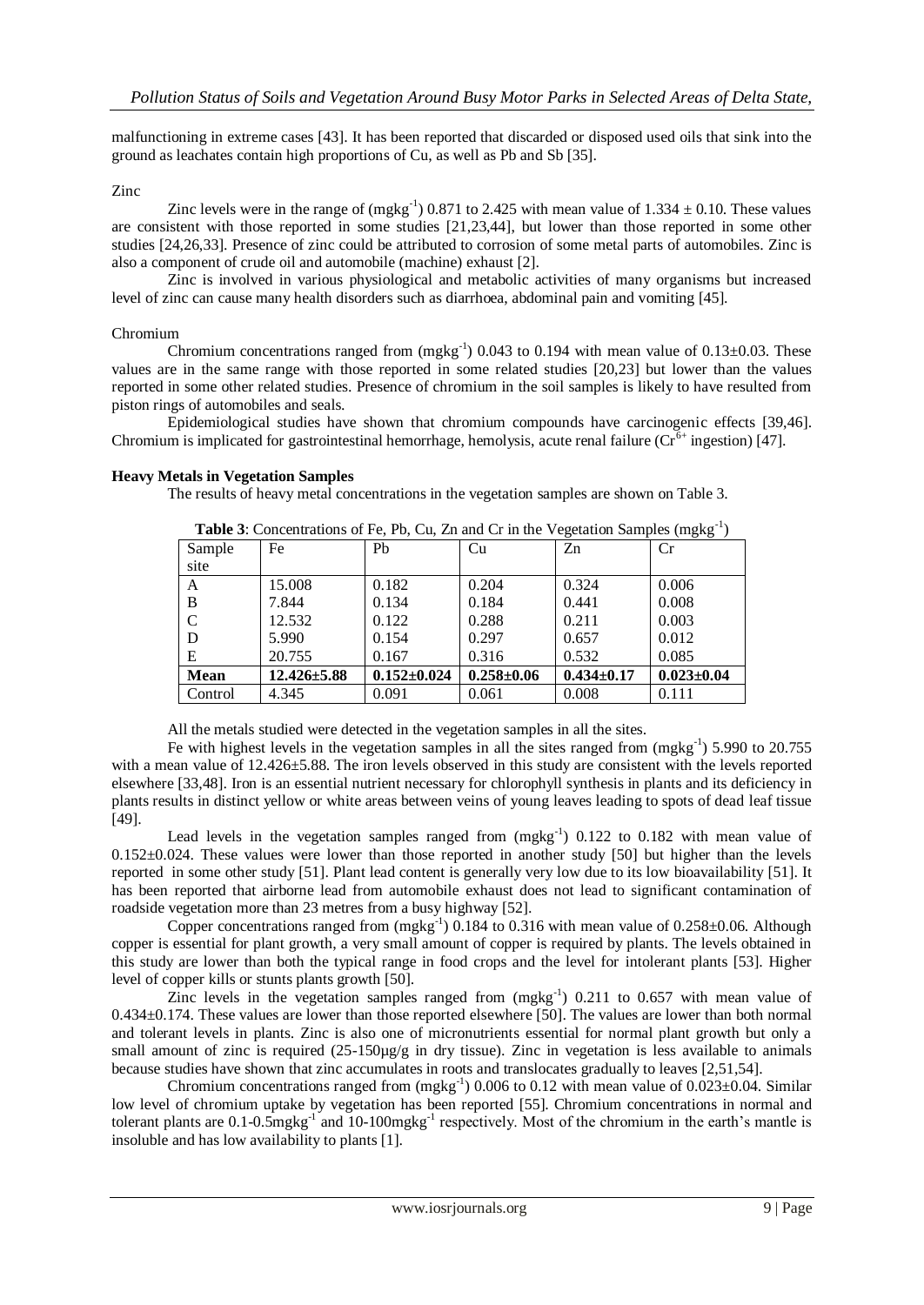malfunctioning in extreme cases [43]. It has been reported that discarded or disposed used oils that sink into the ground as leachates contain high proportions of Cu, as well as Pb and Sb [35].

# Zinc

Zinc levels were in the range of  $(mgkg^{-1})$  0.871 to 2.425 with mean value of 1.334  $\pm$  0.10. These values are consistent with those reported in some studies [21,23,44], but lower than those reported in some other studies [24,26,33]. Presence of zinc could be attributed to corrosion of some metal parts of automobiles. Zinc is also a component of crude oil and automobile (machine) exhaust [2].

Zinc is involved in various physiological and metabolic activities of many organisms but increased level of zinc can cause many health disorders such as diarrhoea, abdominal pain and vomiting [45].

### Chromium

Chromium concentrations ranged from  $(mgkg^{-1})$  0.043 to 0.194 with mean value of 0.13 $\pm$ 0.03. These values are in the same range with those reported in some related studies [20,23] but lower than the values reported in some other related studies. Presence of chromium in the soil samples is likely to have resulted from piston rings of automobiles and seals.

Epidemiological studies have shown that chromium compounds have carcinogenic effects [39,46]. Chromium is implicated for gastrointestinal hemorrhage, hemolysis, acute renal failure ( $Cr<sup>6+</sup>$  ingestion) [47].

# **Heavy Metals in Vegetation Samples**

The results of heavy metal concentrations in the vegetation samples are shown on Table 3.

| -0-<br>(---o--o |                   |                   |                  |                  |                  |
|-----------------|-------------------|-------------------|------------------|------------------|------------------|
| Sample          | Fe                | Pb                | Cu               | Zn               | Cr               |
| site            |                   |                   |                  |                  |                  |
| A               | 15.008            | 0.182             | 0.204            | 0.324            | 0.006            |
| B               | 7.844             | 0.134             | 0.184            | 0.441            | 0.008            |
| $\mathcal{C}$   | 12.532            | 0.122             | 0.288            | 0.211            | 0.003            |
| D               | 5.990             | 0.154             | 0.297            | 0.657            | 0.012            |
| E               | 20.755            | 0.167             | 0.316            | 0.532            | 0.085            |
| <b>Mean</b>     | $12.426 \pm 5.88$ | $0.152 \pm 0.024$ | $0.258 \pm 0.06$ | $0.434 \pm 0.17$ | $0.023 \pm 0.04$ |
| Control         | 4.345             | 0.091             | 0.061            | 0.008            | 0.111            |

Table 3: Concentrations of Fe, Pb, Cu, Zn and Cr in the Vegetation Samples (mgkg<sup>-1</sup>)

All the metals studied were detected in the vegetation samples in all the sites.

Fe with highest levels in the vegetation samples in all the sites ranged from  $(mgkg^{-1})$  5.990 to 20.755 with a mean value of  $12.426 \pm 5.88$ . The iron levels observed in this study are consistent with the levels reported elsewhere [33,48]. Iron is an essential nutrient necessary for chlorophyll synthesis in plants and its deficiency in plants results in distinct yellow or white areas between veins of young leaves leading to spots of dead leaf tissue [49].

Lead levels in the vegetation samples ranged from  $(mgkg^{-1})$  0.122 to 0.182 with mean value of 0.152±0.024. These values were lower than those reported in another study [50] but higher than the levels reported in some other study [51]. Plant lead content is generally very low due to its low bioavailability [51]. It has been reported that airborne lead from automobile exhaust does not lead to significant contamination of roadside vegetation more than 23 metres from a busy highway [52].

Copper concentrations ranged from  $(mgkg^{-1})$  0.184 to 0.316 with mean value of 0.258 $\pm$ 0.06. Although copper is essential for plant growth, a very small amount of copper is required by plants. The levels obtained in this study are lower than both the typical range in food crops and the level for intolerant plants [53]. Higher level of copper kills or stunts plants growth [50].

Zinc levels in the vegetation samples ranged from  $(mgkg^{-1})$  0.211 to 0.657 with mean value of 0.434±0.174. These values are lower than those reported elsewhere [50]. The values are lower than both normal and tolerant levels in plants. Zinc is also one of micronutrients essential for normal plant growth but only a small amount of zinc is required  $(25-150\mu g/g)$  in dry tissue). Zinc in vegetation is less available to animals because studies have shown that zinc accumulates in roots and translocates gradually to leaves [2,51,54].

Chromium concentrations ranged from  $(mgkg^{-1})$  0.006 to 0.12 with mean value of 0.023 $\pm$ 0.04. Similar low level of chromium uptake by vegetation has been reported [55]. Chromium concentrations in normal and tolerant plants are 0.1-0.5 $mgkg^{-1}$  and 10-100 $mgkg^{-1}$  respectively. Most of the chromium in the earth's mantle is insoluble and has low availability to plants [1].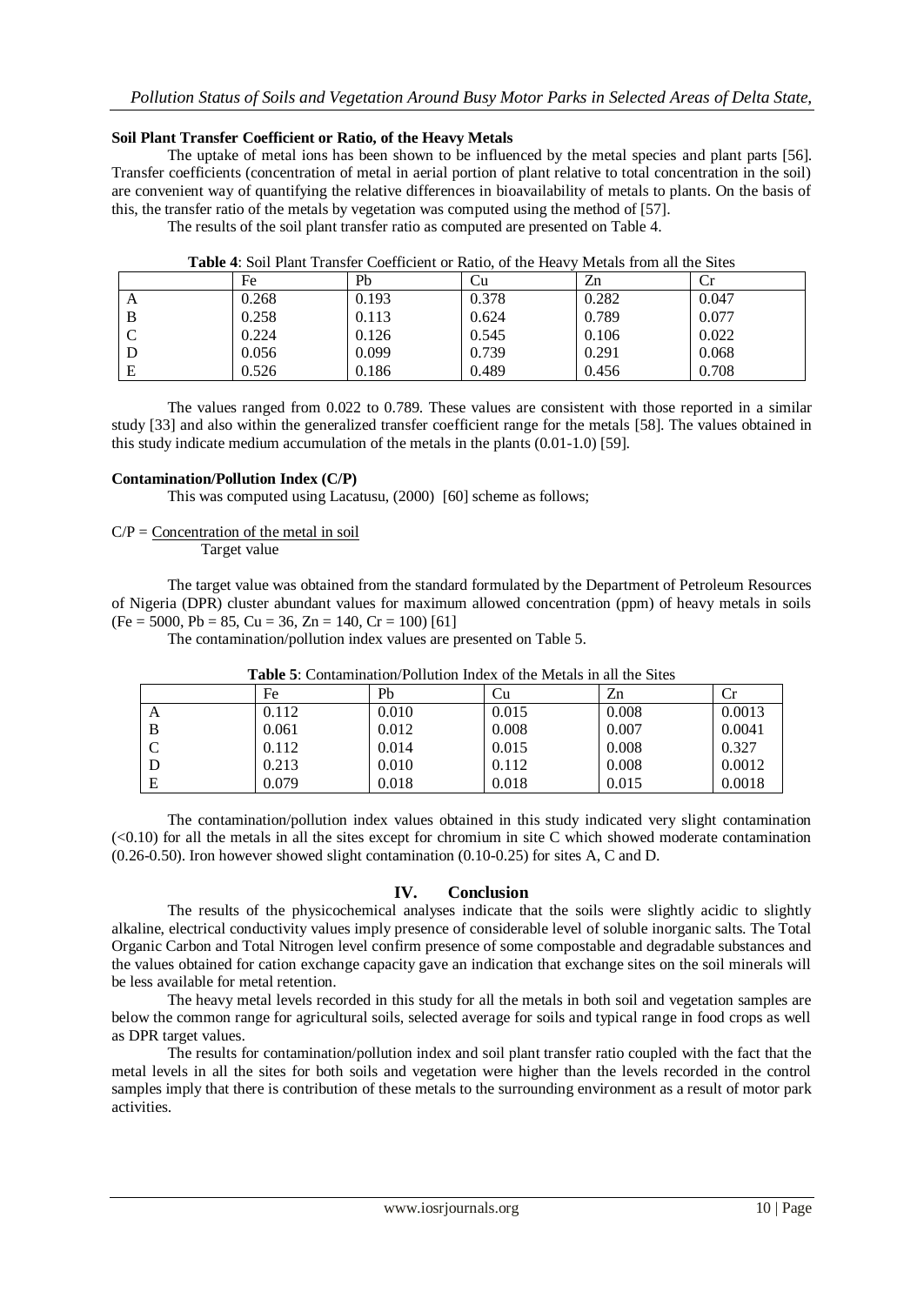### **Soil Plant Transfer Coefficient or Ratio, of the Heavy Metals**

The uptake of metal ions has been shown to be influenced by the metal species and plant parts [56]. Transfer coefficients (concentration of metal in aerial portion of plant relative to total concentration in the soil) are convenient way of quantifying the relative differences in bioavailability of metals to plants. On the basis of this, the transfer ratio of the metals by vegetation was computed using the method of [57].

The results of the soil plant transfer ratio as computed are presented on Table 4.

| AWMAY II MUHA A IWIIV ALWIINIYA WUWALIYIYU UL IWULUI UL UIY ALWU I |       |       |       |       |       |
|--------------------------------------------------------------------|-------|-------|-------|-------|-------|
|                                                                    | Fe    | Ph    | ∪u    | Zn    |       |
| A                                                                  | 0.268 | 0.193 | 0.378 | 0.282 | 0.047 |
| B                                                                  | 0.258 | 0.113 | 0.624 | 0.789 | 0.077 |
|                                                                    | 0.224 | 0.126 | 0.545 | 0.106 | 0.022 |
|                                                                    | 0.056 | 0.099 | 0.739 | 0.291 | 0.068 |
| E                                                                  | 0.526 | 0.186 | 0.489 | 0.456 | 0.708 |

**Table 4**: Soil Plant Transfer Coefficient or Ratio, of the Heavy Metals from all the Sites

The values ranged from 0.022 to 0.789. These values are consistent with those reported in a similar study [33] and also within the generalized transfer coefficient range for the metals [58]. The values obtained in this study indicate medium accumulation of the metals in the plants (0.01-1.0) [59].

# **Contamination/Pollution Index (C/P)**

This was computed using Lacatusu, (2000) [60] scheme as follows;

### $C/P =$  Concentration of the metal in soil

Target value

The target value was obtained from the standard formulated by the Department of Petroleum Resources of Nigeria (DPR) cluster abundant values for maximum allowed concentration (ppm) of heavy metals in soils  $(Fe = 5000, Pb = 85, Cu = 36, Zn = 140, Cr = 100)$  [61]

The contamination/pollution index values are presented on Table 5.

|                 | Fe    | Pb    | Ċu    | Zn    | Сr     |
|-----------------|-------|-------|-------|-------|--------|
| A               | 0.112 | 0.010 | 0.015 | 0.008 | 0.0013 |
|                 | 0.061 | 0.012 | 0.008 | 0.007 | 0.0041 |
| $\sqrt{ }$<br>◡ | 0.112 | 0.014 | 0.015 | 0.008 | 0.327  |
|                 | 0.213 | 0.010 | 0.112 | 0.008 | 0.0012 |
| Ε               | 0.079 | 0.018 | 0.018 | 0.015 | 0.0018 |

**Table 5**: Contamination/Pollution Index of the Metals in all the Sites

The contamination/pollution index values obtained in this study indicated very slight contamination  $\leq$  0.10) for all the metals in all the sites except for chromium in site C which showed moderate contamination (0.26-0.50). Iron however showed slight contamination (0.10-0.25) for sites A, C and D.

### **IV. Conclusion**

The results of the physicochemical analyses indicate that the soils were slightly acidic to slightly alkaline, electrical conductivity values imply presence of considerable level of soluble inorganic salts. The Total Organic Carbon and Total Nitrogen level confirm presence of some compostable and degradable substances and the values obtained for cation exchange capacity gave an indication that exchange sites on the soil minerals will be less available for metal retention.

The heavy metal levels recorded in this study for all the metals in both soil and vegetation samples are below the common range for agricultural soils, selected average for soils and typical range in food crops as well as DPR target values.

The results for contamination/pollution index and soil plant transfer ratio coupled with the fact that the metal levels in all the sites for both soils and vegetation were higher than the levels recorded in the control samples imply that there is contribution of these metals to the surrounding environment as a result of motor park activities.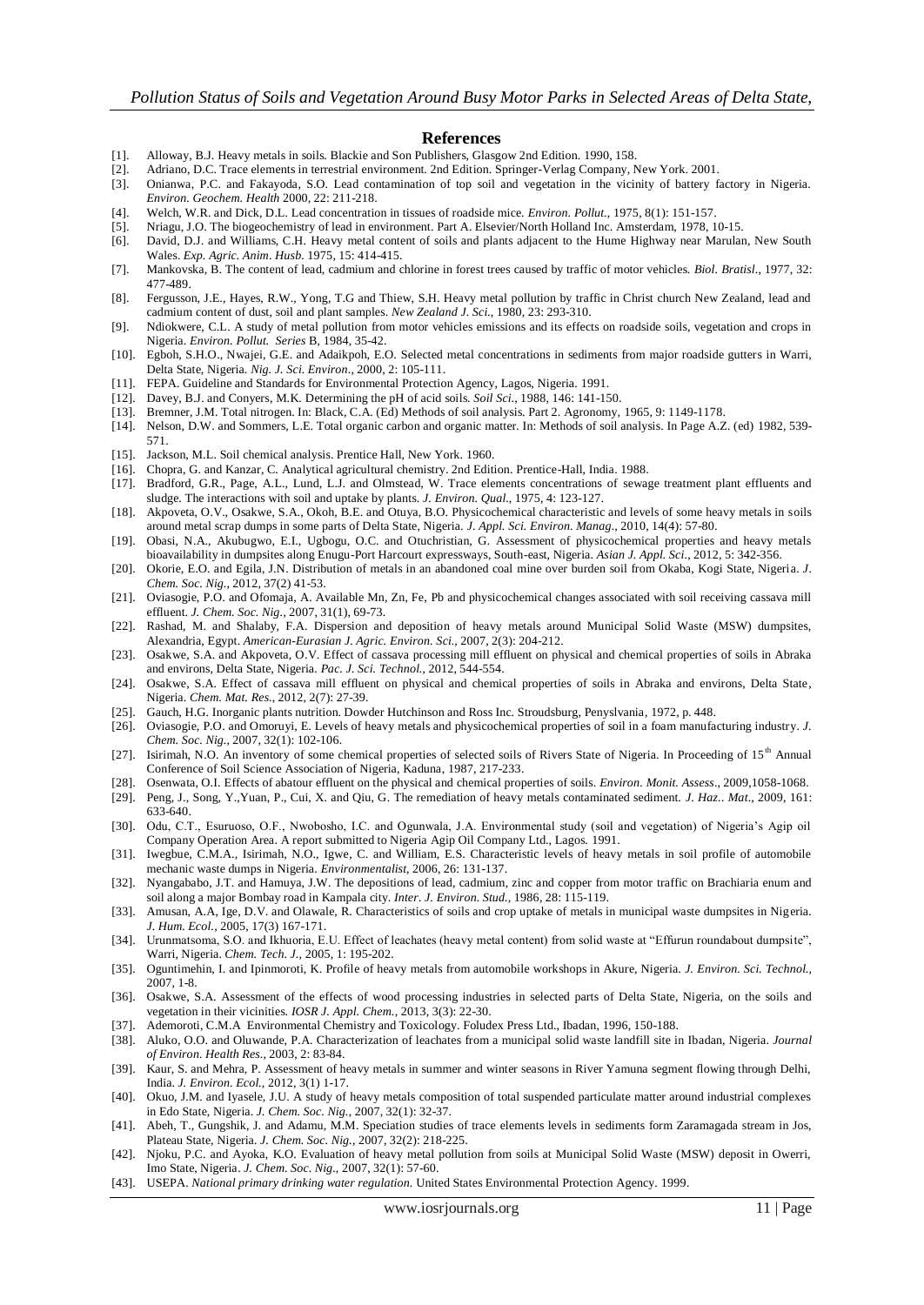#### **References**

- [1]. Alloway, B.J. Heavy metals in soils. Blackie and Son Publishers, Glasgow 2nd Edition. 1990, 158.
- [2]. Adriano, D.C. Trace elements in terrestrial environment. 2nd Edition. Springer-Verlag Company, New York. 2001.
- [3]. Onianwa, P.C. and Fakayoda, S.O. Lead contamination of top soil and vegetation in the vicinity of battery factory in Nigeria. *Environ. Geochem. Health* 2000*,* 22: 211-218.
- [4]. Welch, W.R. and Dick, D.L. Lead concentration in tissues of roadside mice. *Environ. Pollut.*, 1975, 8(1): 151-157.
- [5]. Nriagu, J.O. The biogeochemistry of lead in environment. Part A. Elsevier/North Holland Inc. Amsterdam, 1978, 10-15.
- [6]. David, D.J. and Williams, C.H. Heavy metal content of soils and plants adjacent to the Hume Highway near Marulan, New South Wales. *Exp. Agric. Anim. Husb.* 1975, 15: 414-415.
- [7]. Mankovska, B. The content of lead, cadmium and chlorine in forest trees caused by traffic of motor vehicles. *Biol. Bratisl.*, 1977, 32: 477-489.
- [8]. Fergusson, J.E., Hayes, R.W., Yong, T.G and Thiew, S.H. Heavy metal pollution by traffic in Christ church New Zealand, lead and cadmium content of dust, soil and plant samples. *New Zealand J. Sci.*, 1980, 23: 293-310.
- [9]. Ndiokwere, C.L. A study of metal pollution from motor vehicles emissions and its effects on roadside soils, vegetation and crops in Nigeria. *Environ. Pollut. Series* B, 1984, 35-42.
- [10]. Egboh, S.H.O., Nwajei, G.E. and Adaikpoh, E.O. Selected metal concentrations in sediments from major roadside gutters in Warri, Delta State, Nigeria. *Nig. J. Sci. Environ.*, 2000, 2: 105-111.
- [11]. FEPA. Guideline and Standards for Environmental Protection Agency, Lagos, Nigeria. 1991.
- [12]. Davey, B.J. and Conyers, M.K. Determining the pH of acid soils. *Soil Sci.*, 1988, 146: 141-150.
- [13]. Bremner, J.M. Total nitrogen. In: Black, C.A. (Ed) Methods of soil analysis. Part 2. Agronomy, 1965, 9: 1149-1178.
- [14]. Nelson, D.W. and Sommers, L.E. Total organic carbon and organic matter. In: Methods of soil analysis. In Page A.Z. (ed) 1982, 539- 571.
- [15]. Jackson, M.L. Soil chemical analysis. Prentice Hall, New York. 1960.
- [16]. Chopra, G. and Kanzar, C. Analytical agricultural chemistry. 2nd Edition. Prentice-Hall, India. 1988.
- [17]. Bradford, G.R., Page, A.L., Lund, L.J. and Olmstead, W. Trace elements concentrations of sewage treatment plant effluents and sludge. The interactions with soil and uptake by plants. *J. Environ. Qual.*, 1975, 4: 123-127.
- [18]. Akpoveta, O.V., Osakwe, S.A., Okoh, B.E. and Otuya, B.O. Physicochemical characteristic and levels of some heavy metals in soils around metal scrap dumps in some parts of Delta State, Nigeria. *J. Appl. Sci. Environ. Manag.*, 2010, 14(4): 57-80.
- [19]. Obasi, N.A., Akubugwo, E.I., Ugbogu, O.C. and Otuchristian, G. Assessment of physicochemical properties and heavy metals bioavailability in dumpsites along Enugu-Port Harcourt expressways, South-east, Nigeria. *Asian J. Appl. Sci.*, 2012, 5: 342-356.
- [20]. Okorie, E.O. and Egila, J.N. Distribution of metals in an abandoned coal mine over burden soil from Okaba, Kogi State, Nigeria. *J. Chem. Soc. Nig.*, 2012, 37(2) 41-53.
- [21]. Oviasogie, P.O. and Ofomaja, A. Available Mn, Zn, Fe, Pb and physicochemical changes associated with soil receiving cassava mill effluent. *J. Chem. Soc. Nig.*, 2007, 31(1), 69-73.
- [22]. Rashad, M. and Shalaby, F.A. Dispersion and deposition of heavy metals around Municipal Solid Waste (MSW) dumpsites, Alexandria, Egypt. *American-Eurasian J. Agric. Environ. Sci.*, 2007, 2(3): 204-212.
- [23]. Osakwe, S.A. and Akpoveta, O.V. Effect of cassava processing mill effluent on physical and chemical properties of soils in Abraka and environs, Delta State, Nigeria. *Pac. J. Sci. Technol.*, 2012, 544-554.
- [24]. Osakwe, S.A. Effect of cassava mill effluent on physical and chemical properties of soils in Abraka and environs, Delta State, Nigeria. *Chem. Mat. Res.*, 2012, 2(7): 27-39.
- [25]. Gauch, H.G. Inorganic plants nutrition. Dowder Hutchinson and Ross Inc. Stroudsburg, Penyslvania, 1972, p. 448.
- [26]. Oviasogie, P.O. and Omoruyi, E. Levels of heavy metals and physicochemical properties of soil in a foam manufacturing industry. *J. Chem. Soc. Nig.*, 2007, 32(1): 102-106.
- [27]. Isirimah, N.O. An inventory of some chemical properties of selected soils of Rivers State of Nigeria. In Proceeding of 15<sup>th</sup> Annual Conference of Soil Science Association of Nigeria, Kaduna, 1987, 217-233.
- [28]. Osenwata, O.I. Effects of abatour effluent on the physical and chemical properties of soils. *Environ. Monit. Assess*., 2009,1058-1068.
- [29]. Peng, J., Song, Y.,Yuan, P., Cui, X. and Qiu, G. The remediation of heavy metals contaminated sediment. *J. Haz.. Mat.*, 2009, 161: 633-640.
- [30]. Odu, C.T., Esuruoso, O.F., Nwobosho, I.C. and Ogunwala, J.A. Environmental study (soil and vegetation) of Nigeria's Agip oil Company Operation Area. A report submitted to Nigeria Agip Oil Company Ltd., Lagos. 1991.
- [31]. Iwegbue, C.M.A., Isirimah, N.O., Igwe, C. and William, E.S. Characteristic levels of heavy metals in soil profile of automobile mechanic waste dumps in Nigeria. *Environmentalist*, 2006, 26: 131-137.
- [32]. Nyangababo, J.T. and Hamuya, J.W. The depositions of lead, cadmium, zinc and copper from motor traffic on Brachiaria enum and soil along a major Bombay road in Kampala city. *Inter. J. Environ. Stud.,* 1986, 28: 115-119.
- [33]. Amusan, A.A, Ige, D.V. and Olawale, R. Characteristics of soils and crop uptake of metals in municipal waste dumpsites in Nigeria. *J. Hum. Ecol.,* 2005, 17(3) 167-171.
- [34]. Urunmatsoma, S.O. and Ikhuoria, E.U. Effect of leachates (heavy metal content) from solid waste at "Effurun roundabout dumpsite", Warri, Nigeria. *Chem. Tech. J.,* 2005, 1: 195-202.
- [35]. Oguntimehin, I. and Ipinmoroti, K. Profile of heavy metals from automobile workshops in Akure, Nigeria. *J. Environ. Sci. Technol.,*  2007, 1-8.
- [36]. Osakwe, S.A. Assessment of the effects of wood processing industries in selected parts of Delta State, Nigeria, on the soils and vegetation in their vicinities. *IOSR J. Appl. Chem.*, 2013, 3(3): 22-30.
- [37]. Ademoroti, C.M.A Environmental Chemistry and Toxicology. Foludex Press Ltd., Ibadan, 1996, 150-188.
- [38]. Aluko, O.O. and Oluwande, P.A. Characterization of leachates from a municipal solid waste landfill site in Ibadan, Nigeria. *Journal of Environ. Health Res.*, 2003, 2: 83-84.
- [39]. Kaur, S. and Mehra, P. Assessment of heavy metals in summer and winter seasons in River Yamuna segment flowing through Delhi, India. *J. Environ. Ecol.*, 2012, 3(1) 1-17.
- [40]. Okuo, J.M. and Iyasele, J.U. A study of heavy metals composition of total suspended particulate matter around industrial complexes in Edo State, Nigeria. *J. Chem. Soc. Nig.*, 2007, 32(1): 32-37.
- [41]. Abeh, T., Gungshik, J. and Adamu, M.M. Speciation studies of trace elements levels in sediments form Zaramagada stream in Jos, Plateau State, Nigeria. *J. Chem. Soc. Nig.*, 2007, 32(2): 218-225.
- [42]. Njoku, P.C. and Ayoka, K.O. Evaluation of heavy metal pollution from soils at Municipal Solid Waste (MSW) deposit in Owerri, Imo State, Nigeria. *J. Chem. Soc. Nig.*, 2007, 32(1): 57-60.
- [43]. USEPA. *National primary drinking water regulation.* United States Environmental Protection Agency. 1999.